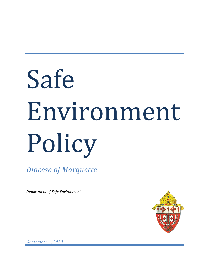# Safe Environment Policy

*Diocese of Marquette*

*Department of Safe Environment*



*September 1, 2020*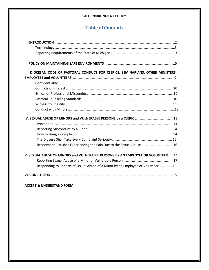# **Table of Contents**

| III. DIOCESAN CODE OF PASTORAL CONDUCT FOR CLERICS, SEMINARIANS, OTHER MINISTERS, |  |
|-----------------------------------------------------------------------------------|--|
|                                                                                   |  |
|                                                                                   |  |
|                                                                                   |  |
|                                                                                   |  |
|                                                                                   |  |
|                                                                                   |  |
|                                                                                   |  |
|                                                                                   |  |
|                                                                                   |  |
|                                                                                   |  |
|                                                                                   |  |
|                                                                                   |  |
|                                                                                   |  |
| Response to Parishes Experiencing the Pain Due to the Sexual Abuse 16             |  |
|                                                                                   |  |
| V. SEXUAL ABUSE OF MINORS and VULNERABLE PERSONS BY AN EMPLOYEE OR VOLUNTEER 17   |  |
|                                                                                   |  |
| Responding to Reports of Sexual Abuse of a Minor by an Employee or Volunteer 18   |  |
|                                                                                   |  |
|                                                                                   |  |
|                                                                                   |  |

**ACCEPT & UNDERSTAND FORM**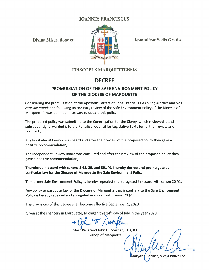## **IOANNES FRANCISCUS**

**Divina Miseratione et** 



**Apostolicae Sedis Gratia** 

n Bernier, Vice Chancellor

# **EPISCOPUS MARQUETTENSIS**

# **DECREE**

# PROMULGATION OF THE SAFE ENVIRONMENT POLICY OF THE DIOCESE OF MARQUETTE

Considering the promulgation of the Apostolic Letters of Pope Francis, As a Loving Mother and Vos estis lux mundi and following an ordinary review of the Safe Environment Policy of the Diocese of Marquette it was deemed necessary to update this policy.

The proposed policy was submitted to the Congregation for the Clergy, which reviewed it and subsequently forwarded it to the Pontifical Council for Legislative Texts for further review and feedback;

The Presbyterial Council was heard and after their review of the proposed policy they gave a positive recommendation;

The Independent Review Board was consulted and after their review of the proposed policy they gave a positive recommendation;

Therefore, in accord with canons 8 §2, 29, and 391 §1 I hereby decree and promulgate as particular law for the Diocese of Marquette the Safe Environment Policy.

The former Safe Environment Policy is hereby repealed and abrogated in accord with canon 20 §1.

Any policy or particular law of the Diocese of Marquette that is contrary to the Safe Environment Policy is hereby repealed and abrogated in accord with canon 20 §1.

The provisions of this decree shall become effective September 1, 2020.

Given at the chancery in Marquette, Michigan this 14<sup>th</sup> day of July in the year 2020.

Most Reverend John F. Doerfler, STD, JCL **Bishop of Marquette**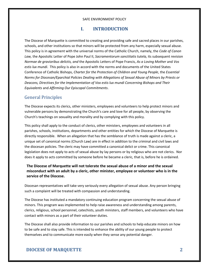#### **I. INTRODUCTION**

The Diocese of Marquette is committed to creating and providing safe and sacred places in our parishes, schools, and other institutions so that minors will be protected from any harm, especially sexual abuse. This policy is in agreement with the universal norms of the Catholic Church, namely, the *Code of Canon Law,* the Apostolic Letter of Pope John Paul II, *Sacramentorum sanctitatis tutela,* its subsequent revision *Normae de gravioribus delictis, and* the Apostolic Letters of Pope Francis, *As a Loving Mother* and *Vos estis lux mundi*. This policy is also in accord with the norms and documents of the United States Conference of Catholic Bishops, *Charter for the Protection of Children and Young People*, the *Essential Norms for Diocesan/Eparchial Policies Dealing with Allegations of Sexual Abuse of Minors by Priests or Deacons, Directives for the Implementation of Vox estis lux mundi Concerning Bishops and Their Equivalents* and *Affirming Our Episcopal Commitments*.

#### General Principles

The Diocese expects its clerics, other ministers, employees and volunteers to help protect minors and vulnerable persons by demonstrating the Church's care and love for all people, by observing the Church's teachings on sexuality and morality and by complying with this policy.

This policy shall apply to the conduct of clerics, other ministers, employees and volunteers in all parishes, schools, institutions, departments and other entities for which the Diocese of Marquette is directly responsible. When an allegation that has the semblance of truth is made against a cleric, a unique set of canonical norms (Church Law) are in effect in addition to the criminal and civil laws and the diocesan policies. The cleric may have committed a canonical delict or crime. This canonical legislation does not apply to acts of sexual abuse by lay persons or by religious who are not clerics. Nor does it apply to acts committed by someone before he became a cleric, that is, before he is ordained.

**The Diocese of Marquette will not tolerate the sexual abuse of a minor and the sexual misconduct with an adult by a cleric, other minister, employee or volunteer who is in the service of the Diocese.** 

Diocesan representatives will take very seriously every allegation of sexual abuse. Any person bringing such a complaint will be treated with compassion and understanding.

The Diocese has instituted a mandatory continuing education program concerning the sexual abuse of minors. This program was implemented to help raise awareness and understanding among parents, clerics, religious, school personnel, catechists, youth ministers, staff members, and volunteers who have contact with minors as a part of their volunteer duties.

The Diocese shall also provide information to our parishes and schools to help educate minors on how to be safe and to stay safe. This is intended to enhance the ability of our young people to protect themselves and to communicate more easily when they sense any potential danger.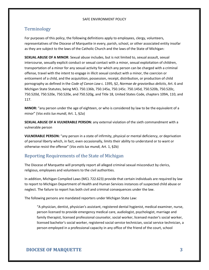## Terminology

For purposes of this policy, the following definitions apply to employees, clergy, volunteers, representatives of the Diocese of Marquette in every, parish, school, or other associated entity insofar as they are subject to the laws of the Catholic Church and the laws of the State of Michigan:

**SEXUAL ABUSE OF A MINOR**: Sexual abuse includes, but is not limited to, sexual assault, sexual intercourse, sexually explicit conduct or sexual contact with a minor, sexual exploitation of children, transportation of a minor for any sexual activity for which any person can be charged with a criminal offense, travel with the intent to engage in illicit sexual conduct with a minor, the coercion or enticement of a child, and the acquisition, possession, receipt, distribution, or production of child pornography as defined in the *Code of Canon Law* c. 1395, §2, *Normae de gravioribus delictis*, Art. 6 and Michigan State Statutes, being MCL 750.136b, 750.145a, 750.145c. 750.145d, 750.520b, 750.520c, 750.520d, 750.520e, 750.520e, and 750.520g, and Title 18, United States Code, chapters 109A, 110, and 117.

**MINOR:** "any person under the age of eighteen, or who is considered by law to be the equivalent of a minor" (*Vos estis lux mundi,* Art. 1, §2a)

**SEXUAL ABUSE OF A VULNERABLE PERSON:** any external violation of the sixth commandment with a vulnerable person

**VULNERABLE PERSON:** "any person in a state of infirmity, physical or mental deficiency, or deprivation of personal liberty which, in fact, even occasionally, limits their ability to understand or to want or otherwise resist the offense" (*Vos estis lux mundi,* Art. 1, §2b)

## Reporting Requirements of the State of Michigan

The Diocese of Marquette will promptly report all alleged criminal sexual misconduct by clerics, religious, employees and volunteers to the civil authorities.

In addition, Michigan Compiled Laws (MCL 722.623) provide that certain individuals are required by law to report to Michigan Department of Health and Human Services instances of suspected child abuse or neglect. The failure to report has both civil and criminal consequences under the law.

The following persons are mandated reporters under Michigan State Law:

"A physician, dentist, physician's assistant, registered dental hygienist, medical examiner, nurse, person licensed to provide emergency medical care, audiologist, psychologist, marriage and family therapist, licensed professional counselor, social worker, licensed master's social worker, licensed bachelor's social worker, registered social service technician, social service technician, a person employed in a professional capacity in any office of the friend of the court, school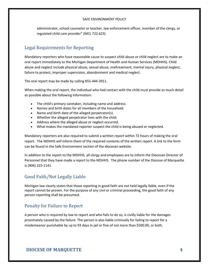administrator, school counselor or teacher, law enforcement officer, member of the clergy, or regulated child care provider" (MCL 722.623)

## Legal Requirements for Reporting

Mandatory reporters who have reasonable cause to suspect child abuse or child neglect are to make an oral report immediately to the Michigan Department of Health and Human Services (MDHHS). Child abuse and neglect include physical abuse, sexual abuse, maltreatment, mental injury, physical neglect, failure to protect, improper supervision, abandonment and medical neglect.

The oral report may be made by calling 855-444-3911.

When making the oral report, the individual who had contact with the child must provide as much detail as possible about the following information:

- The child's primary caretaker, including name and address.
- Names and birth dates for all members of the household.
- Name and birth date of the alleged perpetrator(s).
- Whether the alleged perpetrator lives with the child.
- Address where the alleged abuse or neglect occurred.
- What makes the mandated reporter suspect the child is being abused or neglected.

Mandatory reporters are also required to submit a written report within 72 hours of making the oral report. The MDHHS will inform them of the required contents of the written report. A link to the form can be found in the Safe Environment section of the diocesan website.

In addition to the report to the MDHHS, all clergy and employees are to inform the Diocesan Director of Personnel that they have made a report to the MDHHS. The phone number of the Diocese of Marquette is (906) 225-1141.

## Good Faith/Not Legally Liable

Michigan law clearly states that those reporting in good faith are not held legally liable, even if the report cannot be proven. For the purpose of any civil or criminal proceeding, the good faith of any person reporting shall be presumed.

## Penalty for Failure to Report

A person who is required by law to report and who fails to do so, is civilly liable for the damages proximately caused by the failure. The person is also liable criminally for failing to report for a misdemeanor punishable by up to 93 days in jail or fine of not more than \$500.00, or both.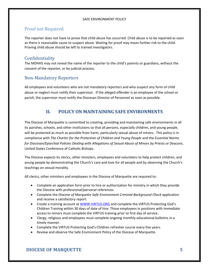# Proof not Required

The reporter does not have to prove that child abuse has occurred. Child abuse is to be reported as soon as there is reasonable cause to suspect abuse. Waiting for proof may mean further risk to the child. Proving child abuse should be left to trained investigators.

#### Confidentiality

The MDHHS may not reveal the name of the reporter to the child's parents or guardians, without the consent of the reporter, or by judicial process.

## Non-Mandatory Reporters

All employees and volunteers who are not mandatory reporters and who suspect any form of child abuse or neglect must notify their supervisor. If the alleged offender is an employee of the school or parish, the supervisor must notify the Diocesan Director of Personnel as soon as possible.

## **II. POLICY ON MAINTAINING SAFE ENVIRONMENTS**

The Diocese of Marquette is committed to creating, providing and maintaining safe environments in all its parishes, schools, and other institutions so that all persons, especially children, and young people, will be protected as much as possible from harm, particularly sexual abuse of minors. This policy is in compliance with *The Charter for the Protection of Children and Young People* and the E*ssential Norms for Diocesan/Eparchial Policies Dealing with Allegations of Sexual Abuse of Minors by Priests or Deacons*, United States Conference of Catholic Bishops.

The Diocese expects its clerics, other ministers, employees and volunteers to help protect children, and young people by demonstrating the Church's care and love for all people and by observing the Church's teachings on sexual morality.

All clerics, other ministers and employees in the Diocese of Marquette are required to:

- Complete an application form prior to hire or authorization for ministry in which they provide the Diocese with professional/personal references
- Complete the *Diocese of Marquette Safe Environment Criminal Background Check* application and receive a satisfactory report.
- Create a training account at [WWW.VIRTUS.ORG](http://www.virtus.org/) and complete the VIRTUS Protecting God's Children Training within 30 days of date of hire. Those employees in positions with immediate access to minors must complete the VIRTUS training prior to first day of service.
- Clergy, religious and employees must complete ongoing monthly educational bulletins in a timely manner.
- Complete the VIRTUS Protecting God's Children refresher course every five years.
- Review and observe the Safe Environment Policy of the Diocese of Marquette.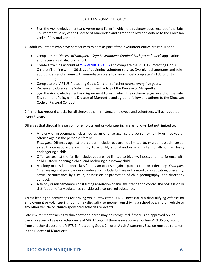• Sign the Acknowledgement and Agreement Form in which they acknowledge receipt of the Safe Environment Policy of the Diocese of Marquette and agree to follow and adhere to the Diocesan Code of Pastoral Conduct.

All adult volunteers who have contact with minors as part of their volunteer duties are required to:

- Complete the *Diocese of Marquette Safe Environment Criminal Background Check* application and receive a satisfactory report.
- Create a training account at [WWW.VIRTUS.ORG](http://www.virtus.org/) and complete the VIRTUS Protecting God's Children Training within 30 days of beginning volunteer service. Overnight chaperones and sole adult drivers and anyone with immediate access to minors must complete VIRTUS prior to volunteering.
- Complete the VIRTUS Protecting God's Children refresher course every five years.
- Review and observe the Safe Environment Policy of the Diocese of Marquette.
- Sign the Acknowledgement and Agreement Form in which they acknowledge receipt of the Safe Environment Policy of the Diocese of Marquette and agree to follow and adhere to the Diocesan Code of Pastoral Conduct.

Criminal background checks for all clergy, other ministers, employees and volunteers will be repeated every 3 years.

Offenses that disqualify a person for employment or volunteering are as follows, but not limited to:

- A felony or misdemeanor classified as an offense against the person or family or involves an offense against the person or family. *Examples:* Offenses against the person include, but are not limited to, murder, assault, sexual assault, domestic violence, injury to a child, and abandoning or intentionally or recklessly endangering a child.
- Offenses against the family include, but are not limited to bigamy, incest, and interference with child custody, enticing a child, and harboring a runaway child.
- A felony or misdemeanor classified as an offense against public order or indecency. *Examples:* Offenses against public order or indecency include, but are not limited to prostitution, obscenity, sexual performance by a child, possession or promotion of child pornography, and disorderly conduct.
- A felony or misdemeanor constituting a violation of any law intended to control the possession or distribution of any substance considered a controlled substance.

Arrest leading to convictions for driving while intoxicated is NOT necessarily a disqualifying offense for employment or volunteering, but it may disqualify someone from driving a school bus, church vehicle or any other vehicle on church sponsored activities or events.

Safe environment training within another diocese may be recognized if there is an approved online training record of session attendance at VIRTUS.org. If there is no approved online VIRTUS.org record from another diocese, the VIRTUS® Protecting God's Children Adult Awareness Session must be re-taken in the Diocese of Marquette.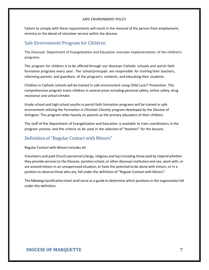Failure to comply with these requirements will result in the removal of the person from employment, ministry or the denial of volunteer service within the diocese.

## Safe Environment Program for Children

The Diocesan Department of Evangelization and Education oversees implementation of the children's programs.

The program for children is to be offered through our diocesan Catholic schools and parish faith formation programs every year. The school principals are responsible for training their teachers, informing parents and guardians of the program's contents, and educating their students.

Children in Catholic schools will be trained in safe environment using *Child Lures*® Prevention. This comprehensive program trains children in several areas including personal safety, online safety, drug resistance and school climate.

Grade school and high school youths in parish faith formation programs will be trained in safe environment utilizing the *Formation in Christian Chastity* program developed by the Diocese of Arlington. This program relies heavily on parents as the primary educators of their children.

The staff of the Department of Evangelization and Education is available to train coordinators in the program process and the criteria to be used in the selection of "teachers" for the lessons.

## Definition of "Regular Contact with Minors"

Regular Contact with Minorsincludes all:

Volunteers and paid Church personnel (clergy, religious and lay) including those paid by stipend whether they provide services to the Diocese, parishes school, or other diocesan institution and see, work with, or are around minors in an unsupervised situation, or have the potential to be alone with minors, or in a position to observe those who are, fall under the definition of "Regular Contact with Minors".

The following classification chart shall serve as a guide to determine which positions in the organization fall under this definition.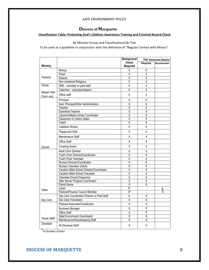# **Diocese of Marquette**

#### **Classification Table: Protecting God's Children Awareness Training and Criminal Record Check**

#### By Ministry Group and Classification/Job Title

To be used as a guideline in conjunction with the definition of "Regular Contact with Minors".

|                    |                                              | <b>Background</b>         |                         | <b>PGC Awareness Session</b> |  |
|--------------------|----------------------------------------------|---------------------------|-------------------------|------------------------------|--|
|                    |                                              | <b>Check</b>              | Required                | Recommended                  |  |
| <b>Ministry</b>    |                                              | Required                  |                         |                              |  |
|                    | <b>Bishop</b>                                | Χ                         | Χ                       |                              |  |
|                    | Priest                                       | $\overline{\mathsf{x}}$   | $\overline{\mathsf{X}}$ |                              |  |
| Pastoral           | Deacon                                       | $\overline{\mathsf{x}}$   | $\overline{\mathsf{X}}$ |                              |  |
|                    | Non-cloistered Religious                     | $\overline{\mathsf{x}}$   | Χ                       |                              |  |
| Parish             | DRE- volunteer or paid staff                 | X                         | Χ                       |                              |  |
| <b>Based Faith</b> | Catechist - volunteer/stipend                | $\overline{\mathsf{x}}$   | $\overline{\mathsf{x}}$ |                              |  |
| Form, and          | Office staff                                 | X                         | X                       |                              |  |
|                    | Principal                                    | Χ                         | X                       |                              |  |
|                    | Asst. Principal/Other Administration         | $\overline{\mathsf{x}}$   | $\overline{X}$          |                              |  |
|                    | Teacher                                      | Χ                         | $\overline{\mathsf{x}}$ |                              |  |
|                    | Substitute Teacher                           | $\overline{\mathsf{x}}$   | $\overline{\mathsf{x}}$ |                              |  |
|                    | Librarian/Media Center Coordinator           | $\overline{\mathsf{x}}$   | $\overline{X}$          |                              |  |
|                    | Classroom or Library Aides                   | $\overline{\mathsf{x}}$   | $\overline{\mathsf{x}}$ |                              |  |
|                    | Coach                                        | Χ                         | χ                       |                              |  |
|                    | Cafeteria Worker                             | X                         | X                       |                              |  |
|                    | Playground Aide                              | X                         | X                       |                              |  |
|                    | Maintenance Staff                            | X                         | Χ                       |                              |  |
|                    | Office Staff                                 | Χ                         | X                       |                              |  |
| School             | <b>Crossing Guard</b>                        | X                         | Χ                       |                              |  |
|                    | <b>Adult Choir Director</b>                  | Χ                         | $\overline{X}$          |                              |  |
|                    | Youth Choir Director/Coordinator             | Χ                         | χ                       |                              |  |
|                    | Youth Choir Volunteer                        | $\overline{\mathsf{x}}$   | $\overline{X}$          |                              |  |
|                    | Nursery Director/Coordinator                 | $\overline{\mathsf{x}}$   | $\overline{\mathsf{x}}$ |                              |  |
|                    | Nursery Volunteer (Adult)                    | $\overline{\mathsf{x}}$   | $\overline{\mathsf{x}}$ |                              |  |
|                    | Vacation Bible School Director/Coordinator   | $\overline{\mathsf{x}}$   | $\overline{\mathsf{X}}$ |                              |  |
|                    | Vacation Bible School Volunteer              | $\overline{\mathsf{x}}$   | $\overline{\mathsf{X}}$ |                              |  |
|                    | Volunteer Driver/Chaperone                   | χ                         | Χ                       |                              |  |
|                    | Altar Server Program Coordinator             | $\overline{\mathsf{x}}$   | Χ                       |                              |  |
|                    | Parish Nurse                                 | $\overline{\mathsf{x}}$   | $\overline{\mathsf{x}}$ |                              |  |
| Other              | Usher                                        | $\overline{\mathsf{X}^*}$ |                         | х.                           |  |
|                    | Pastoral/Finance Council Member              | $X^*$                     |                         | Χ                            |  |
|                    | Day Care Coordinator/ Director or Paid Staff | X                         | Χ                       |                              |  |
| Day Care           | Day Care Volunteers                          | $\overline{\mathsf{x}}$   | $\overline{\mathsf{X}}$ |                              |  |
|                    | Pastoral Associate/Coordinator               | X                         | Χ                       |                              |  |
|                    | <b>Business Manager</b>                      | Χ                         | $\overline{X}$          |                              |  |
|                    | <b>Office Staff</b>                          | $\overline{\mathsf{x}}$   | χ                       |                              |  |
|                    | Safe Environment Coordinator                 | Χ                         | $\overline{\mathsf{x}}$ |                              |  |
| Parish Staff       | Maintenance/Housekeeping Staff               | Χ                         | $\overline{\mathsf{x}}$ |                              |  |
| Diocesan           | All Diocesan Staff                           | X                         | X                       |                              |  |

Staff **\****At Discretion of Pastor*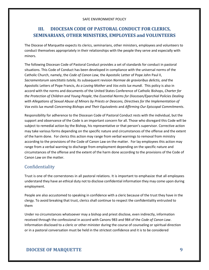# **III. DIOCESAN CODE OF PASTORAL CONDUCT FOR CLERICS, SEMINARIANS, OTHER MINISTERS, EMPLOYEES and VOLUNTEERS**

The Diocese of Marquette expects its clerics, seminarians, other ministers, employees and volunteers to conduct themselves appropriately in their relationships with the people they serve and especially with minors.

The following Diocesan Code of Pastoral Conduct provides a set of standards for conduct in pastoral situations. This Code of Conduct has been developed in compliance with the universal norms of the Catholic Church, namely, the *Code of Canon Law,* the Apostolic Letter of Pope John Paul II, *Sacramentorum sanctitatis tutela,* its subsequent revision *Normae de gravioribus delictis, and* the Apostolic Letters of Pope Francis, *As a Loving Mother* and *Vos estis lux mundi*. This policy is also in accord with the norms and documents of the United States Conference of Catholic Bishops, *Charter for the Protection of Children and Young People*, the *Essential Norms for Diocesan/Eparchial Policies Dealing with Allegations of Sexual Abuse of Minors by Priests or Deacons, Directives for the Implementation of Vox estis lux mundi Concerning Bishops and Their Equivalents* and *Affirming Our Episcopal Commitments*.

Responsibility for adherence to the Diocesan Code of Pastoral Conduct rests with the individual, but the support and observance of the Code is an important concern for all. Those who disregard this Code will be subject to remedial action by the Bishop, his representative or that person's supervisor. Corrective action may take various forms depending on the specific nature and circumstances of the offense and the extent of the harm done. For clerics this action may range from verbal warnings to removal from ministry according to the provisions of the Code of Canon Law on the matter. For lay employees this action may range from a verbal warning to discharge from employment depending on the specific nature and circumstances of the offense and the extent of the harm done according to the provisions of the Code of Canon Law on the matter.

## Confidentiality

Trust is one of the cornerstones in all pastoral relations. It is important to emphasize that all employees understand they have an ethical duty not to disclose confidential information they may come upon during employment.

People are also accustomed to speaking in confidence with a cleric because of the trust they have in the clergy. To avoid breaking that trust, clerics shall continue to respect the confidentiality entrusted to them

Under no circumstances whatsoever may a bishop and priest disclose, even indirectly, information received through the confessional in accord with Canons 983 and 984 of the *Code of Canon Law*. Information disclosed to a cleric or other minister during the course of counseling or spiritual direction or in a pastoral conversation must be held in the strictest confidence and it is to be considered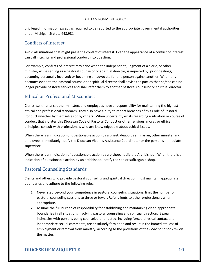privileged information except as required to be reported to the appropriate governmental authorities under Michigan Statute §48.981.

# Conflicts of Interest

Avoid all situations that might present a conflict of interest. Even the appearance of a conflict of interest can call integrity and professional conduct into question.

For example, conflicts of interest may arise when the independent judgment of a cleric, or other minister, while serving as a pastoral counselor or spiritual director, is impaired by: prior dealings; becoming personally involved; or becoming an advocate for one person against another. When this becomes evident, the pastoral counselor or spiritual director shall advise the parties that he/she can no longer provide pastoral services and shall refer them to another pastoral counselor or spiritual director.

# Ethical or Professional Misconduct

Clerics, seminarians, other ministers and employees have a responsibility for maintaining the highest ethical and professional standards. They also have a duty to report breaches of this Code of Pastoral Conduct whether by themselves or by others. When uncertainty exists regarding a situation or course of conduct that violates this Diocesan Code of Pastoral Conduct or other religious, moral, or ethical principles, consult with professionals who are knowledgeable about ethical issues.

When there is an indication of questionable action by a priest, deacon, seminarian, other minister and employee, immediately notify the Diocesan Victim's Assistance Coordinator or the person's immediate supervisor.

When there is an indication of questionable action by a bishop, notify the Archbishop. When there is an indication of questionable action by an archbishop, notify the senior suffragan bishop.

# Pastoral Counseling Standards

Clerics and others who provide pastoral counseling and spiritual direction must maintain appropriate boundaries and adhere to the following rules:

- 1. Never step beyond your competence in pastoral counseling situations; limit the number of pastoral counseling sessions to three or fewer. Refer clients to other professionals when appropriate.
- 2. Assume the full burden of responsibility for establishing and maintaining clear, appropriate boundaries in all situations involving pastoral counseling and spiritual direction. Sexual intimacies with persons being counseled or directed, including forced physical contact and inappropriate sexual comments, are absolutely forbidden and result in the immediate loss of employment or removal from ministry, according to the provisions of the *Code of Canon Law* on the matter.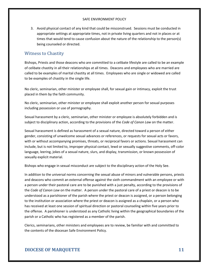3. Avoid physical contact of any kind that could be misconstrued. Sessions must be conducted in appropriate settings at appropriate times, not in private living quarters and not in places or at times that would tend to cause confusion about the nature of the relationship to the person(s) being counseled or directed.

#### Witness to Chastity

Bishops, Priests and those deacons who are committed to a celibate lifestyle are called to be an example of celibate chastity in all their relationships at all times. Deacons and employees who are married are called to be examples of marital chastity at all times. Employees who are single or widowed are called to be examples of chastity in the single life.

No cleric, seminarian, other minister or employee shall, for sexual gain or intimacy, exploit the trust placed in them by the faith community.

No cleric, seminarian, other minister or employee shall exploit another person for sexual purposes including possession or use of pornography.

Sexual harassment by a cleric, seminarian, other minister or employee is absolutely forbidden and is subject to disciplinary action, according to the provisions of the *Code of Canon Law* on the matter.

Sexual harassment is defined as harassment of a sexual nature, directed toward a person of either gender, consisting of unwelcome sexual advances or references, or requests for sexual acts or favors, with or without accompanying promises, threats, or reciprocal favors or actions. Sexual harassment can include, but is not limited to, improper physical contact, lewd or sexually suggestive comments, off-color language, leering, jokes of a sexual nature, slurs, and display, transmission, or known possession of sexually explicit material.

Bishops who engage in sexual misconduct are subject to the disciplinary action of the Holy See.

In addition to the universal norms concerning the sexual abuse of minors and vulnerable persons, priests and deacons who commit an external offense against the sixth commandment with an employee or with a person under their pastoral care are to be punished with a just penalty, according to the provisions of the *Code of Canon Law* on the matter. A person under the pastoral care of a priest or deacon is to be understood as a parishioner of the parish where the priest or deacon is assigned, or a person belonging to the institution or association where the priest or deacon is assigned as a chaplain, or a person who has received at least one session of spiritual direction or pastoral counseling within five years prior to the offense. A parishioner is understood as any Catholic living within the geographical boundaries of the parish or a Catholic who has registered as a member of the parish.

Clerics, seminarians, other ministers and employees are to review, be familiar with and committed to the contents of the diocesan Safe Environment Policy.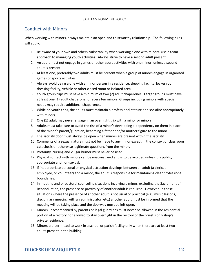## Conduct with Minors

When working with minors, always maintain an open and trustworthy relationship.The following rules will apply.

- 1. Be aware of your own and others' vulnerability when working alone with minors. Use a team approach to managing youth activities. Always strive to have a second adult present.
- 2. An adult must not engage in games or other sport activities with one minor, unless a second adult is present.
- 3. At least one, preferably two adults must be present when a group of minors engage in organized games or sports activities.
- 4. Always avoid being alone with a minor person in a residence, sleeping facility, locker room, dressing facility, vehicle or other closed room or isolated area.
- 5. Youth group trips must have a minimum of two (2) adult chaperones. Larger groups must have at least one (1) adult chaperone for every ten minors. Groups including minors with special needs may require additional chaperones.
- 6. While on youth trips, the adults must maintain a professional stature and socialize appropriately with minors.
- 7. One (1) adult may never engage in an overnight trip with a minor or minors.
- 8. Adults must take care to avoid the risk of a minor's developing a dependency on them in place of the minor's parent/guardian, becoming a father and/or mother figure to the minor.
- 9. The sacristy door must always be open when minors are present within the sacristy.
- 10. Comments of a sexual nature must not be made to any minor except in the context of classroom catechesis or otherwise legitimate questions from the minor.
- 11. Profanity, cursing and vulgar humor must never be used.
- 12. Physical contact with minors can be misconstrued and is to be avoided unless it is public, appropriate and non-sexual.
- 13. If inappropriate personal or physical attraction develops between an adult (a cleric, an employee, or volunteer) and a minor, the adult is responsible for maintaining clear professional boundaries.
- 14. In meeting and or pastoral counseling situations involving a minor, excluding the Sacrament of Reconciliation, the presence or proximity of another adult is required. However, in those situations where the presence of another adult is not usual or practical (e.g., music lessons, disciplinary meeting with an administrator, etc.) another adult must be informed that the meeting will be taking place and the doorway must be left open.
- 15. Minors unaccompanied by parents or legal guardians must never be allowed in the residential portion of a rectory nor allowed to stay overnight in the rectory or the priest's or bishop's private residence.
- 16. Minors are permitted to work in a school or parish facility only when there are at least two adults present in the building.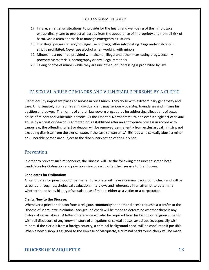- 17. In rare, emergency situations, to provide for the health and well-being of the minor, take extraordinary care to protect all parties from the appearance of impropriety and from all risk of harm. Use a team approach to manage emergency situations.
- 18. The illegal possession and/or illegal use of drugs, other intoxicating drugs and/or alcohol is strictly prohibited. Never use alcohol when working with minors.
- 19. Minors must never be provided with alcohol, illegal and other intoxicating drugs, sexually provocative materials, pornography or any illegal materials.
- 20. Taking photos of minors while they are unclothed, or undressing is prohibited by law.

#### IV. SEXUAL ABUSE OF MINORS AND VULNERABLE PERSONS BY A CLERIC

Clerics occupy important places of service in our Church. They do so with extraordinary generosity and care. Unfortunately, sometimes an individual cleric may seriously overstep boundaries and misuse his position and power. The norms of church law govern procedures for addressing allegations of sexual abuse of minors and vulnerable persons. As the Essential Norms state: "When even a single act of sexual abuse by a priest or deacon is admitted or is established after an appropriate process in accord with canon law, the offending priest or deacon will be removed permanently from ecclesiastical ministry, not excluding dismissal from the clerical state, if the case so warrants." Bishops who sexually abuse a minor or vulnerable person are subject to the disciplinary action of the Holy See.

#### Prevention

In order to prevent such misconduct, the Diocese will use the following measures to screen both candidates for Ordination and priests or deacons who offer their service to the Diocese.

#### **Candidates for Ordination:**

All candidates for priesthood or permanent diaconate will have a criminal background check and will be screened through psychological evaluation, interviews and references in an attempt to determine whether there is any history of sexual abuse of minors either as a victim or a perpetrator.

#### **Clerics New to the Diocese:**

Whenever a priest or deacon from a religious community or another diocese requests a transfer to the Diocese of Marquette, a criminal background check will be made to determine whether there is any history of sexual abuse. A letter of reference will also be required from his bishop or religious superior with full disclosure of any known history of allegations of sexual abuse, sexual abuse, especially with minors. If the cleric is from a foreign country, a criminal background check will be conducted if possible. When a new bishop is assigned to the Diocese of Marquette, a criminal background check will be made.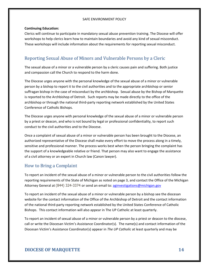#### **Continuing Education:**

Clerics will continue to participate in mandatory sexual abuse prevention training. The Diocese will offer workshops to help clerics learn how to maintain boundaries and avoid any kind of sexual misconduct. These workshops will include information about the requirements for reporting sexual misconduct.

# Reporting Sexual Abuse of Minors and Vulnerable Persons by a Cleric

The sexual abuse of a minor or a vulnerable person by a cleric causes pain and suffering. Both justice and compassion call the Church to respond to the harm done.

The Diocese urges anyone with the personal knowledge of the sexual abuse of a minor or vulnerable person by a bishop to report it to the civil authorities and to the appropriate archbishop or senior suffragan bishop in the case of misconduct by the archbishop. Sexual abuse by the Bishop of Marquette is reported to the Archbishop of Detroit. Such reports may be made directly to the office of the archbishop or through the national third-party reporting network established by the United States Conference of Catholic Bishops.

The Diocese urges anyone with personal knowledge of the sexual abuse of a minor or vulnerable person by a priest or deacon, and who is not bound by legal or professional confidentiality, to report such conduct to the civil authorities and to the Diocese.

Once a complaint of sexual abuse of a minor or vulnerable person has been brought to the Diocese, an authorized representative of the Diocese shall make every effort to move the process along in a timely, sensitive and professional manner. The process works best when the person bringing the complaint has the support of a knowledgeable relative or friend. That person may also want to engage the assistance of a civil attorney or an expert in Church law (Canon lawyer).

## How to Bring a Complaint

To report an incident of the sexual abuse of a minor or vulnerable person to the civil authorities follow the reporting requirements of the State of Michigan as noted on page 3, and contact the Office of the Michigan Attorney General at (844) 324-3374 or send an email to: [aginvestigations@michigan.gov](mailto:aginvestigations@michigan.gov)

To report an incident of the sexual abuse of a minor or vulnerable person by a bishop see the diocesan website for the contact information of the Office of the Archbishop of Detroit and the contact information of the national third-party reporting network established by the United States Conference of Catholic Bishops. This contact information will also appear in The UP Catholic at least quarterly.

To report an incident of sexual abuse of a minor or vulnerable person by a priest or deacon to the diocese, call or write the Diocesan Victim's Assistance Coordinator(s). The name(s) and contact information of the Diocesan Victim's Assistance Coordinator(s) appear in *The UP Catholic* at least quarterly and may be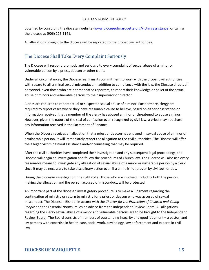obtained by consulting the diocesan website [\(www.dioceseofmarquette.org/](http://www.dioceseofmarquette.org/)victimsassistance) or calling the diocese at (906) 225-1141.

All allegations brought to the diocese will be reported to the proper civil authorities.

## The Diocese Shall Take Every Complaint Seriously

The Diocese will respond promptly and seriously to every complaint of sexual abuse of a minor or vulnerable person by a priest, deacon or other cleric.

Under all circumstances, the Diocese reaffirms its commitment to work with the proper civil authorities with regard to all criminal sexual misconduct. In addition to compliance with the law, the Diocese directs all personnel, even those who are not mandated reporters, to report their knowledge or belief of the sexual abuse of minors and vulnerable persons to their supervisor or director.

Clerics are required to report actual or suspected sexual abuse of a minor. Furthermore, clergy are required to report cases where they have reasonable cause to believe, based on either observation or information received, that a member of the clergy has abused a minor or threatened to abuse a minor. However, given the nature of the seal of confession even recognized by civil law, a priest may not share any information received in the Sacrament of Penance.

When the Diocese receives an allegation that a priest or deacon has engaged in sexual abuse of a minor or a vulnerable person, it will immediately report the allegation to the civil authorities. The Diocese will offer the alleged victim pastoral assistance and/or counseling that may be required.

After the civil authorities have completed their investigation and any subsequent legal proceedings, the Diocese will begin an investigation and follow the procedures of Church law. The Diocese will also use every reasonable means to investigate any allegation of sexual abuse of a minor or vulnerable person by a cleric since it may be necessary to take disciplinary action even if a crime is not proven by civil authorities.

During the diocesan investigation, the rights of all those who are involved, including both the person making the allegation and the person accused of misconduct, will be protected.

An important part of the diocesan investigatory procedure is to make a judgment regarding the continuation of ministry or return to ministry for a priest or deacon who was accused of sexual misconduct. The Diocesan Bishop, in accord with the *Charter for the Protection of Children and Young People* and the Essential Norms, relies on advice from the Independent Review Board. All allegations regarding the clergy sexual abuse of a minor and vulnerable persons are to be brought to the Independent Review Board. The Board consists of members of outstanding integrity and good judgment – a pastor, and lay persons with expertise in health care, social work, psychology, law enforcement and experts in civil law.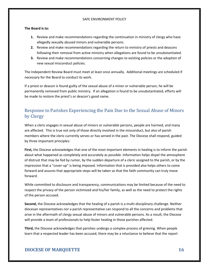#### **The Board is to:**

- **1.** Review and make recommendations regarding the continuation in ministry of clergy who have allegedly sexually abused minors and vulnerable persons.
- **2.** Review and make recommendations regarding the return to ministry of priests and deacons following their removal from active ministry when allegations are found to be unsubstantiated.
- **3.** Review and make recommendations concerning changes to existing policies or the adoption of new sexual misconduct policies.

The Independent Review Board must meet at least once annually. Additional meetings are scheduled if necessary for the Board to conduct its work.

If a priest or deacon is found guilty of the sexual abuse of a minor or vulnerable person, he will be permanently removed from public ministry. If an allegation is found to be unsubstantiated, efforts will be made to restore the priest's or deacon's good name.

# Response to Parishes Experiencing the Pain Due to the Sexual Abuse of Minors by Clergy

When a cleric engages in sexual abuse of minors or vulnerable persons, people are harmed, and many are affected. This is true not only of those directly involved in the misconduct, but also of parish members where the cleric currently serves or has served in the past. The Diocese shall respond, guided by three important principles:

**First,** the Diocese acknowledges that one of the most important elements in healing is to inform the parish about what happened as completely and accurately as possible. Information helps dispel the atmosphere of distrust that may be fed by rumor, by the sudden departure of a cleric assigned to the parish, or by the impression that a "cover-up" is being imposed. Information that is provided also helps others to come forward and assures that appropriate steps will be taken so that the faith community can truly move forward.

While committed to disclosure and transparency, communications may be limited because of the need to respect the privacy of the person victimized and his/her family, as well as the need to protect the rights of the person accused.

**Second,** the Diocese acknowledges that the healing of a parish is a multi-disciplinary challenge. Neither diocesan representatives nor a parish representative can respond to all the concerns and problems that arise in the aftermath of clergy sexual abuse of minors and vulnerable persons. As a result, the Diocese will provide a team of professionals to help foster healing in those parishes affected.

**Third,** the Diocese acknowledges that parishes undergo a complex process of grieving. When people learn that a respected leader has been accused, there may be a reluctance to believe that the report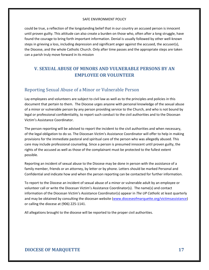could be true, a reflection of the longstanding belief that in our country an accused person is innocent until proven guilty. This attitude can also create a burden on those who, often after a long struggle, have found the courage to bring forth important information. Denial is usually followed by other well-known steps in grieving a loss, including depression and significant anger against the accused, the accuser(s), the Diocese, and the whole Catholic Church. Only after time passes and the appropriate steps are taken can a parish truly move forward in its mission

# **V. SEXUAL ABUSE OF MINORS AND VULNERABLE PERSONS BY AN EMPLOYEE OR VOLUNTEER**

#### Reporting Sexual Abuse of a Minor or Vulnerable Person

Lay employees and volunteers are subject to civil law as well as to the principles and policies in this document that pertain to them. The Diocese urges anyone with personal knowledge of the sexual abuse of a minor or vulnerable person by any person providing service to the Church, and who is not bound by legal or professional confidentiality, to report such conduct to the civil authorities and to the Diocesan Victim's Assistance Coordinator.

The person reporting will be advised to report the incident to the civil authorities and when necessary, of the legal obligation to do so. The Diocesan Victim's Assistance Coordinator will offer to help in making provisions for the immediate pastoral and spiritual care of the person who was allegedly abused. This care may include professional counseling. Since a person is presumed innocent until proven guilty, the rights of the accused as well as those of the complainant must be protected to the fullest extent possible.

Reporting an incident of sexual abuse to the Diocese may be done in person with the assistance of a family member, friends or an attorney, by letter or by phone. Letters should be marked Personal and Confidential and indicate how and when the person reporting can be contacted for further information.

To report to the Diocese an incident of sexual abuse of a minor or vulnerable adult by an employee or volunteer call or write the Diocesan Victim's Assistance Coordinator(s). The name(s) and contact information of the Diocesan Victim's Assistance Coordinator(s) appear in *The UP Catholic* at least quarterly and may be obtained by consulting the diocesan website [\(www.dioceseofmarquette.org/](http://www.dioceseofmarquette.org/)victimsassistance) or calling the diocese at (906) 225-1141.

All allegations brought to the diocese will be reported to the proper civil authorities.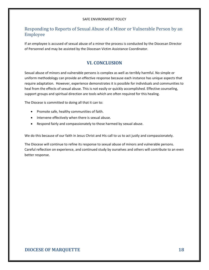## Responding to Reports of Sexual Abuse of a Minor or Vulnerable Person by an Employee

If an employee is accused of sexual abuse of a minor the process is conducted by the Diocesan Director of Personnel and may be assisted by the Diocesan Victim Assistance Coordinator.

## **VI. CONCLUSION**

Sexual abuse of minors and vulnerable persons is complex as well as terribly harmful. No simple or uniform methodology can provide an effective response because each instance has unique aspects that require adaptation. However, experience demonstrates it is possible for individuals and communities to heal from the effects of sexual abuse. This is not easily or quickly accomplished. Effective counseling, support groups and spiritual direction are tools which are often required for this healing.

The Diocese is committed to doing all that it can to:

- Promote safe, healthy communities of faith.
- Intervene effectively when there is sexual abuse.
- Respond fairly and compassionately to those harmed by sexual abuse.

We do this because of our faith in Jesus Christ and His call to us to act justly and compassionately.

The Diocese will continue to refine its response to sexual abuse of minors and vulnerable persons. Careful reflection on experience, and continued study by ourselves and others will contribute to an even better response.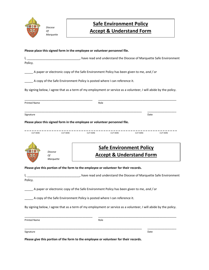

*Diocese Of Marquette*

# **Safe Environment Policy Accept & Understand Form**

**Please place this signed form in the employee or volunteer personnel file.**

I, \_\_\_\_\_\_\_\_\_\_\_\_\_\_\_\_\_\_\_\_\_\_\_\_\_\_\_\_\_\_\_\_\_, have read and understand the Diocese of Marquette Safe Environment Policy.

\_\_\_\_\_ A paper or electronic copy of the Safe Environment Policy has been given to me, *and / or*

\_\_\_\_\_ A copy of the Safe Environment Policy is posted where I can reference it.

By signing below, I agree that as a term of my employment or service as a volunteer, I will abide by the policy.

| <b>Printed Name</b> |                                                                            | Role                                                                  |                 |                 |                 |
|---------------------|----------------------------------------------------------------------------|-----------------------------------------------------------------------|-----------------|-----------------|-----------------|
| Signature           |                                                                            |                                                                       |                 | Date            |                 |
|                     | Please place this signed form in the employee or volunteer personnel file. |                                                                       |                 |                 |                 |
| <b>CUT HERE</b>     | <b>CUT HERE</b>                                                            | <b>CUT HERE</b>                                                       | <b>CUT HERE</b> | <b>CUT HERE</b> | <b>CUT HERE</b> |
|                     | <b>Diocese</b>                                                             | <b>Safe Environment Policy</b><br><b>Accept &amp; Understand Form</b> |                 |                 |                 |

**Please give this portion of the form to the employee or volunteer for their records.**

I, \_\_\_\_\_\_\_\_\_\_\_\_\_\_\_\_\_\_\_\_\_\_\_\_\_\_\_\_\_\_\_\_\_, have read and understand the Diocese of Marquette Safe Environment Policy.

\_\_\_\_\_ A paper or electronic copy of the Safe Environment Policy has been given to me, *and / or*

\_\_\_\_\_ A copy of the Safe Environment Policy is posted where I can reference it.

By signing below, I agree that as a term of my employment or service as a volunteer, I will abide by the policy.

| <b>Printed Name</b>                                                                  | Role |      |
|--------------------------------------------------------------------------------------|------|------|
| Signature                                                                            |      | Date |
| Please give this portion of the form to the employee or volunteer for their records. |      |      |